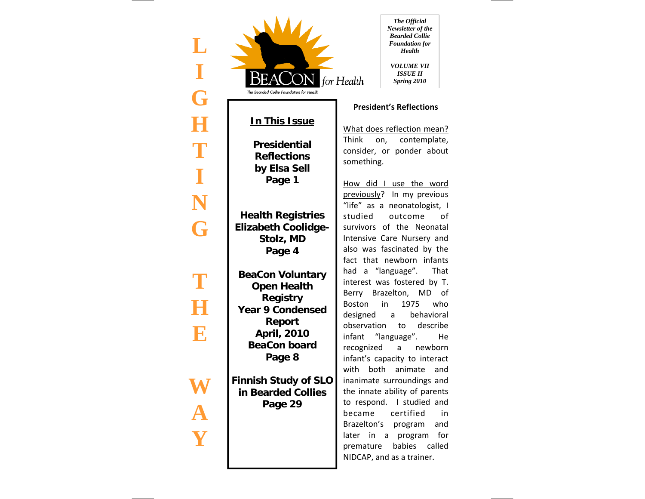| $\mathbb{L}$<br>I<br>G | The Bearded Collie Foundation for Health                                                                                                                            | for Health                                        | The Official<br>Newsletter of the<br><b>Bearded Collie</b><br><b>Foundation</b> for<br><b>Health</b><br><b>VOLUME VII</b><br><i>ISSUE 11</i><br>Spring 2010                                                                                                          |
|------------------------|---------------------------------------------------------------------------------------------------------------------------------------------------------------------|---------------------------------------------------|----------------------------------------------------------------------------------------------------------------------------------------------------------------------------------------------------------------------------------------------------------------------|
|                        |                                                                                                                                                                     |                                                   | <b>President's Reflections</b>                                                                                                                                                                                                                                       |
| H<br>T                 | <b>In This Issue</b><br><b>Presidential</b><br><b>Reflections</b><br>by Elsa Sell                                                                                   | something.                                        | What does reflection mean?<br>Think on, contemplate,<br>consider, or ponder about                                                                                                                                                                                    |
| T<br>N<br>G            | Page 1<br><b>Health Registries</b><br><b>Elizabeth Coolidge-</b><br>Stolz, MD<br>Page 4                                                                             | studied                                           | How did I use the word<br>previously? In my previous<br>"life" as a neonatologist, I<br>outcome<br>οf<br>survivors of the Neonatal<br>Intensive Care Nursery and<br>also was fascinated by the                                                                       |
| T<br>$\mathbf{R}$      | <b>BeaCon Voluntary</b><br><b>Open Health</b><br><b>Registry</b><br><b>Year 9 Condensed</b><br><b>Report</b><br><b>April, 2010</b><br><b>BeaCon board</b><br>Page 8 | Boston<br>designed a<br>observation<br>recognized | fact that newborn infants<br>had a "language". That<br>interest was fostered by T.<br>Berry Brazelton, MD of<br>in<br>1975<br>who<br>behavioral<br>to describe<br>infant "language".<br>He<br>a newborn<br>infant's capacity to interact<br>with both animate<br>and |
|                        | <b>Finnish Study of SLO</b><br>in Bearded Collies<br>Page 29                                                                                                        | became<br>later in a<br>premature                 | inanimate surroundings and<br>the innate ability of parents<br>to respond. I studied and<br>certified<br>in<br>Brazelton's program<br>and<br>program<br>for<br>babies<br>called<br>NIDCAP, and as a trainer.                                                         |

 $\overline{\phantom{a}}$ 

 $\overline{\phantom{a}}$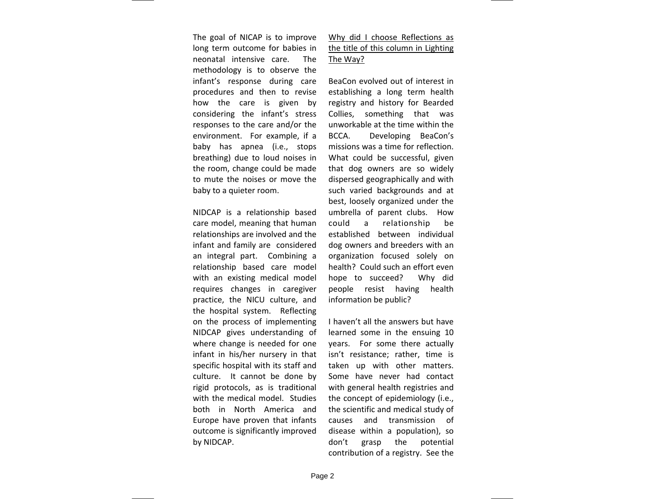The goal of NICAP is to improve long term outcome for babies in neonatal intensive care. The methodology is to observe the infant's response during care procedures and then to revise how the care is given by considering the infant's stress responses to the care and/or the environment. For example, if <sup>a</sup> baby has apnea (i.e., stops breathing) due to loud noises in the room, change could be made to mute the noises or move the baby to <sup>a</sup> quieter room.

NIDCAP is <sup>a</sup> relationship based care model, meaning that human relationships are involved and the infant and family are considered an integral part. Combining <sup>a</sup> relationship based care model with an existing medical model requires changes in caregiver practice, the NICU culture, and the hospital system. Reflecting on the process of implementing NIDCAP gives understanding of where change is needed for one infant in his/her nursery in that specific hospital with its staff and culture. It cannot be done by rigid protocols, as is traditional with the medical model. Studies both in North America and Europe have proven that infants outcome is significantly improved by NIDCAP.

Why did I choose Reflections as the title of this column in Lighting <u>The Way?</u>

BeaCon evolved out of interest in establishing <sup>a</sup> long term health registry and history for Bearded Collies, something that was unworkable at the time within the BCCA. Developing BeaCon's missions was a time for reflection. What could be successful, given that dog owners are so widely dispersed geographically and with such varied backgrounds and at best, loosely organized under the umbrella of parent clubs. How could <sup>a</sup> relationship be established between individual dog owners and breeders with an organization focused solely on health? Could such an effort even hope to succeed? Why did people resist having health information be public?

 haven't all the answers but have learned some in the ensuing 10 years. For some there actually isn't resistance; rather, time is taken up with other matters. Some have never had contact with general health registries and the concept of epidemiology (i.e., the scientific and medical study of causes and transmission of disease within <sup>a</sup> population), so don't grasp the potential contribution of <sup>a</sup> registry. See the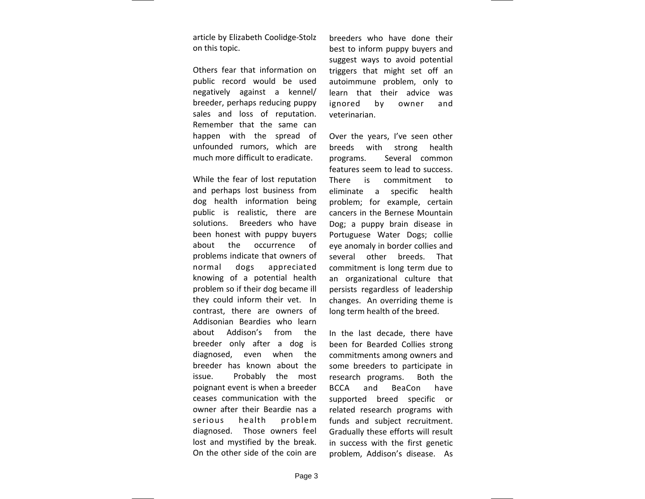article by Elizabeth Coolidge‐Stolz on this topic.

Others fear that information on public record would be used negatively against <sup>a</sup> kennel/ breeder, perhaps reducing puppy sales and loss of reputation. Remember that the same can happen with the spread of unfounded rumors, which are much more difficult to eradicate.

While the fear of lost reputation and perhaps lost business from dog health information being public is realistic, there are solutions. Breeders who have been honest with puppy buyers about the occurrence of problems indicate that owners of normal dogs appreciated knowing of <sup>a</sup> potential health problem so if their dog became ill they could inform their vet. In contrast, there are owners of Addisonian Beardies who learn about Addison's from the breeder only after <sup>a</sup> dog is diagnosed, even when the breeder has known about the issue. Probably the most poignant event is when <sup>a</sup> breeder ceases communication with the owner after their Beardie nas a serious health problem diagnosed. Those owners feel lost and mystified by the break. On the other side of the coin are

breeders who have done their best to inform puppy buyers and suggest ways to avoid potential triggers that might set off an autoimmune problem, only to learn that their advice was ignored by owner and veterinarian.

Over the years, I've seen other breeds with strong health programs. Several common features seem to lead to success. There is commitment toeliminate <sup>a</sup> specific health problem; for example, certain cancers in the Bernese Mountain Dog; <sup>a</sup> puppy brain disease in Portuguese Water Dogs; collie eye anomaly in border collies and several other breeds. That commitment is long term due to an organizational culture that persists regardless of leadership changes. An overriding theme is long term health of the breed.

In the last decade, there have been for Bearded Collies strong commitments among owners and some breeders to participate in research programs. Both the **BCCA**  and BeaCon have supported breed specific or related research programs with funds and subject recruitment. Gradually these efforts will result in success with the first genetic problem, Addison's disease. As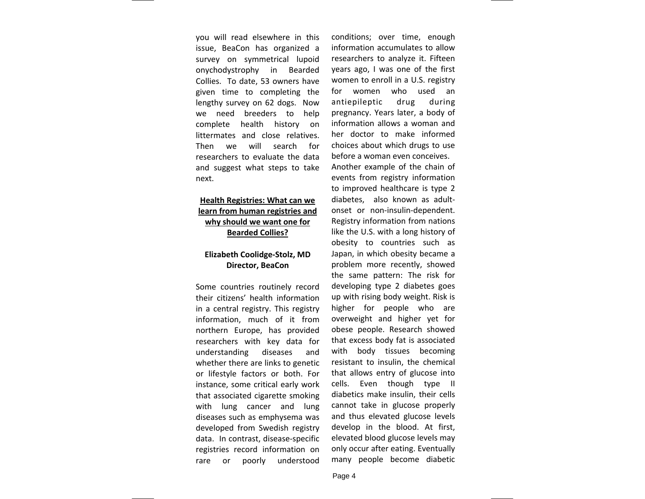you will read elsewhere in this issue, BeaCon has organized <sup>a</sup> survey on symmetrical lupoid onychodystrophy in Bearded Collies. To date, 53 owners have given time to completing the lengthy survey on 62 dogs. Now we need breeders to help complete health history on littermates and close relatives. Then we will search for researchers to evaluate the data and suggest what steps to take next.

# **Health Registries: What can we learn from human registries and why should we want one for Bearded Collies?**

# **Elizabeth Coolidge‐Stolz, MD Director, BeaCon**

Some countries routinely record their citizens' health information in <sup>a</sup> central registry. This registry information, much of it from northern Europe, has provided researchers with key data for understanding diseases and whether there are links to genetic or lifestyle factors or both. For instance, some critical early work that associated cigarette smoking with lung cancer and lung diseases such as emphysema was developed from Swedish registry data. In contrast, disease‐specific registries record information on rare or poorly understood

conditions; over time, enough information accumulates to allowresearchers to analyze it. Fifteen years ago, I was one of the first women to enroll in <sup>a</sup> U.S. registry for women who used an antiepileptic drug during pregnancy. Years later, <sup>a</sup> body of information allows <sup>a</sup> woman and her doctor to make informed choices about which drugs to use before a woman even conceives. Another example of the chain of events from registry information to improved healthcare is type 2 diabetes, also known as adult‐ onset or non‐insulin‐dependent. Registry information from nations like the U.S. with <sup>a</sup> long history of obesity to countries such as Japan, in which obesity became <sup>a</sup> problem more recently, showed the same pattern: The risk for developing type 2 diabetes goes up with rising body weight. Risk is higher for people who are overweight and higher yet for obese people. Research showed that excess body fat is associated with body tissues becoming resistant to insulin, the chemical that allows entry of glucose into cells. Even though type II diabetics make insulin, their cells cannot take in glucose properly and thus elevated glucose levels develop in the blood. At first, elevated blood glucose levels may only occur after eating. Eventually many people become diabetic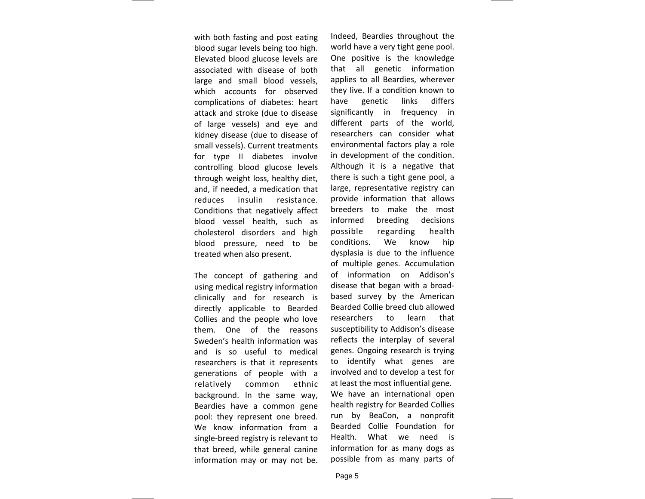with both fasting and post eating blood sugar levels being too high. Elevated blood glucose levels are associated with disease of both large and small blood vessels, which accounts for observed complications of diabetes: heart attack and stroke (due to disease of large vessels) and eye and kidney disease (due to disease of small vessels). Current treatments for type II diabetes involve controlling blood glucose levels through weight loss, healthy diet, and, if needed, <sup>a</sup> medication that reduces insulin resistance. Conditions that negatively affect blood vessel health, such as cholesterol disorders and high blood pressure, need to be treated when also present.

The concept of gathering and using medical registry information clinically and for research is directly applicable to Bearded Collies and the people who love them. One of the reasons Sweden's health information was and is so useful to medical researchers is that it represents generations of people with <sup>a</sup> relatively common ethnic background. In the same way, Beardies have a common gene pool: they represent one breed. We know information from a single‐breed registry is relevant to that breed, while general canine information may or may not be.

Indeed, Beardies throughout the world have <sup>a</sup> very tight gene pool. One positive is the knowledge that all genetic information applies to all Beardies, wherever they live. If <sup>a</sup> condition known to have genetic links differs significantly in frequency in different parts of the world, researchers can consider what environmental factors play <sup>a</sup> role in development of the condition. Although it is <sup>a</sup> negative that there is such <sup>a</sup> tight gene pool, <sup>a</sup> large, representative registry can provide information that allows breeders to make the most informed breeding decisions possible regarding health conditions. We know hip dysplasia is due to the influence of multiple genes. Accumulation of information on Addison's disease that began with <sup>a</sup> broad‐ based survey by the American Bearded Collie breed club allowed researchers to learn that susceptibility to Addison's disease reflects the interplay of several genes. Ongoing research is trying to identify what genes are involved and to develop <sup>a</sup> test for at least the most influential gene. We have an international open health registry for Bearded Collies run by BeaCon, <sup>a</sup> nonprofit Bearded Collie Foundation for Health. What we need is information for as many dogs as possible from as many parts of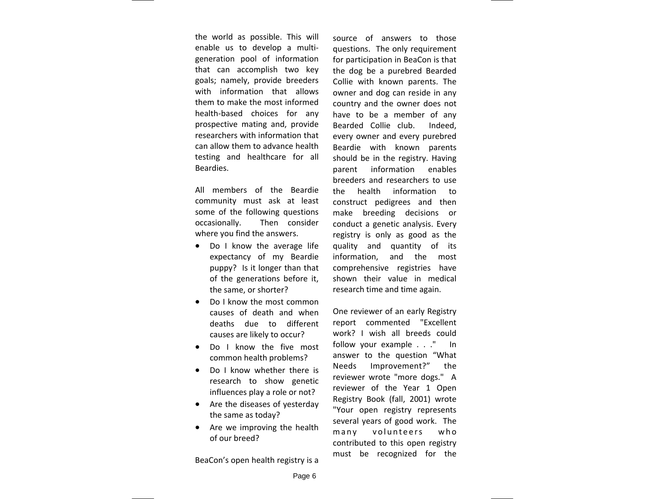the world as possible. This will enable us to develop <sup>a</sup> multi‐ generation pool of information that can accomplish two key goals; namely, provide breeders with information that allows them to make the most informed health‐based choices for any prospective mating and, provide researchers with information that can allow them to advance health testing and healthcare for all Beardies.

All members of the Beardie community must ask at least some of the following questions occasionally. Then consider where you find the answers.

- Do I know the average life expectancy of my Beardie puppy? Is it longer than that of the generations before it, the same, or shorter?
- Do I know the most common causes of death and when deaths due to different causes are likely to occur?
- Do I know the five most common health problems?
- Do I know whether there is research to show genetic influences play <sup>a</sup> role or not?
- Are the diseases of yesterday the same as today?
- Are we improving the health of our breed?

BeaCon's open health registry is <sup>a</sup>

source of answers to those questions. The only requirement for participation in BeaCon is that the dog be <sup>a</sup> purebred Bearded Collie with known parents. The owner and dog can reside in any country and the owner does not have to be <sup>a</sup> member of any Bearded Collie club. Indeed, every owner and every purebred Beardie with known parents should be in the registry. Having parent information enables breeders and researchers to use the health information toconstruct pedigrees and then make breeding decisions or conduct a genetic analysis. Every registry is only as good as the quality and quantity of its information, and the most comprehensive registries have shown their value in medical research time and time again.

One reviewer of an early Registry report commented "Excellent work? I wish all breeds could follow your example . . ." In answer to the question "What Needs Improvement?" the reviewer wrote "more dogs." A reviewer of the Year 1 Open Registry Book (fall, 2001) wrote "Your open registry represents several years of good work. The many volunteers who contributed to this open registry must be recognized for the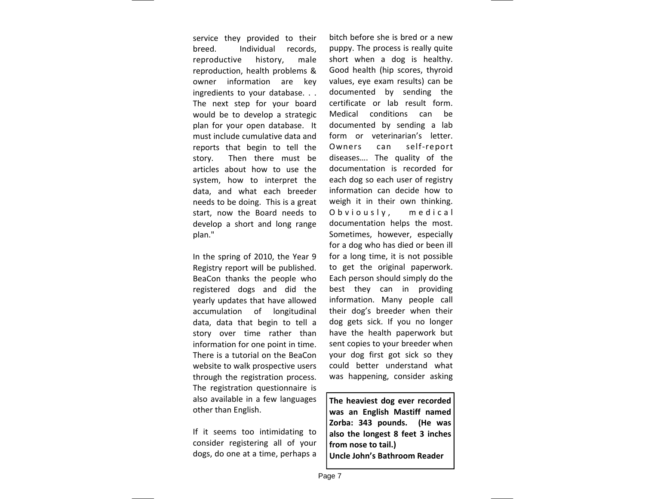service they provided to their breed. Individual records, reproductive history, male reproduction, health problems & owner information are key ingredients to your database. . . The next step for your board would be to develop <sup>a</sup> strategic plan for your open database. It must include cumulative data andreports that begin to tell the story. Then there must be articles about how to use the system, how to interpret the data, and what each breeder needs to be doing. This is <sup>a</sup> great start, now the Board needs to develop <sup>a</sup> short and long range plan."

In the spring of 2010, the Year 9 Registry report will be published. BeaCon thanks the people who registered dogs and did the yearly updates that have allowed accumulation of longitudinal data, data that begin to tell <sup>a</sup> story over time rather than information for one point in time. There is <sup>a</sup> tutorial on the BeaConwebsite to walk prospective users through the registration process. The registration questionnaire is also available in <sup>a</sup> few languages other than English.

If it seems too intimidating to consider registering all of your dogs, do one at <sup>a</sup> time, perhaps <sup>a</sup>

bitch before she is bred or <sup>a</sup> newpuppy. The process is really quite short when <sup>a</sup> dog is healthy. Good health (hip scores, thyroid values, eye exam results) can be documented by sending the certificate or lab result form. Medical conditions can be documented by sending <sup>a</sup> lab form or veterinarian's letter. Owners can self‐report diseases…. The quality of the documentation is recorded for each dog so each user of registry information can decide how to weigh it in their own thinking. Obviously, medical documentation helps the most. Sometimes, however, especially for a dog who has died or been ill for a long time, it is not possible to get the original paperwork. Each person should simply do the best they can in providing information. Many people call their dog's breeder when their dog gets sick. If you no longer have the health paperwork but sent copies to your breeder when your dog first got sick so they could better understand what was happening, consider asking

**The heaviest dog ever recorded was an English Mastiff named Zorba: 343 pounds. (He was also the longest 8 feet 3 inches from nose to tail.) Uncle John's Bathroom Reader**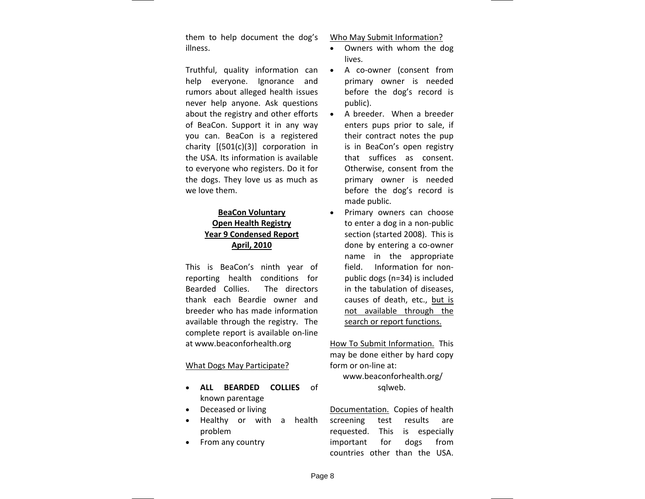them to help document the dog's illness.

Truthful, quality information can help everyone. Ignorance and rumors about alleged health issues never help anyone. Ask questions about the registry and other efforts of BeaCon. Support it in any way you can. BeaCon is <sup>a</sup> registered charity [(501(c)(3)] corporation in the USA. Its information is available to everyone who registers. Do it for the dogs. They love us as much as we love them.

# **BeaCon Voluntary Open Health Registry Year 9 Condensed Report April, 2010**

This is BeaCon's ninth year of reporting health conditions for Bearded Collies. The directors thank each Beardie owner and breeder who has made information available through the registry. The complete report is available on‐line at www.beaconforhealth.org

# What Dogs May Participate?

- **ALL BEARDED COLLIES** of known parentage
- Deceased or living
- Healthy or with <sup>a</sup> health problem
- From any country

Who May Submit Information?

- Owners with whom the dog lives.
- A co‐owner (consent from primary owner is needed before the dog's record is public).
- A breeder. When <sup>a</sup> breeder enters pups prior to sale, if their contract notes the pup is in BeaCon's open registry that suffices as consent. Otherwise, consent from the primary owner is needed before the dog's record is made public.
- Primary owners can choose to enter <sup>a</sup> dog in <sup>a</sup> non‐public section (started 2008). This is done by entering <sup>a</sup> co‐owner name in the appropriate field. Information for non‐ public dogs (n=34) is included in the tabulation of diseases, causes of death, etc., but is not available through the search or report functions.

How To Submit Information. This may be done either by hard copy form or on‐line at:

# www.beaconforhealth.org/ sqlweb.

Documentation. Copies of health screening test results are requested. This is especially important for dogs from countries other than the USA.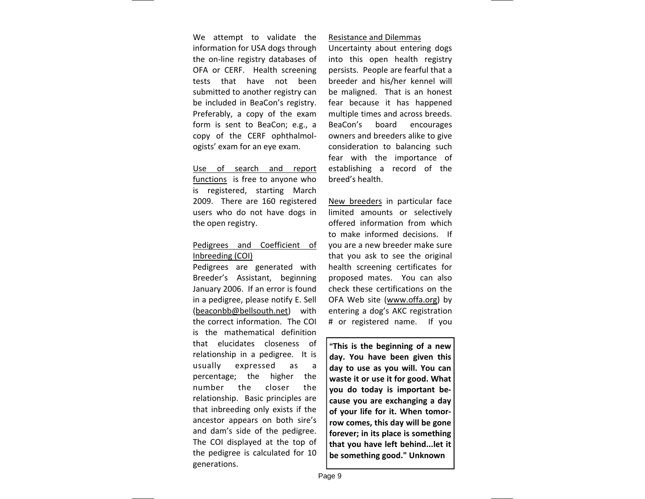We attempt to validate the information for USA dogs through the on‐line registry databases of OFA or CERF. Health screening tests that have not beensubmitted to another registry can be included in BeaCon's registry. Preferably, <sup>a</sup> copy of the exam form is sent to BeaCon; e.g., <sup>a</sup> copy of the CERF ophthalmol‐ ogists' exam for an eye exam.

Use of search and report functions is free to anyone who is registered, starting March 2009. There are 160 registered users who do not have dogs in the open registry.

# Pedigrees and Coefficient of Inbreeding (COI)

Pedigrees are generated with Breeder's Assistant, beginning January 2006. If an error is found in <sup>a</sup> pedigree, please notify E. Sell (beaconbb@bellsouth.net) with the correct information. The COI is the mathematical definitionthat elucidates closeness of relationship in <sup>a</sup> pedigree. It is usually expressed as <sup>a</sup> percentage; the higher the number the closer the relationship. Basic principles are that inbreeding only exists if the ancestor appears on both sire's and dam's side of the pedigree. The COI displayed at the top of the pedigree is calculated for 10 generations.

### Resistance and Dilemmas

Uncertainty about entering dogs into this open health registry persists. People are fearful that <sup>a</sup> breeder and his/her kennel will be maligned. That is an honest fear because it has happened multiple times and across breeds. BeaCon's board encourages owners and breeders alike to give consideration to balancing such fear with the importance of establishing <sup>a</sup> record of the breed's health.

New breeders in particular face limited amounts or selectively offered information from which to make informed decisions. If you are <sup>a</sup> new breeder make sure that you ask to see the original health screening certificates for proposed mates. You can also check these certifications on the OFA Web site (<u>www.offa.org</u>) by entering <sup>a</sup> dog's AKC registration # or registered name. If you

**"This is the beginning of <sup>a</sup> new day. You have been given this day to use as you will. You can waste it or use it for good. What you do today is important be‐ cause you are exchanging <sup>a</sup> day of your life for it. When tomor‐ row comes, this day will be gone forever; in its place is something that you have left behind...let it be something good." Unknown**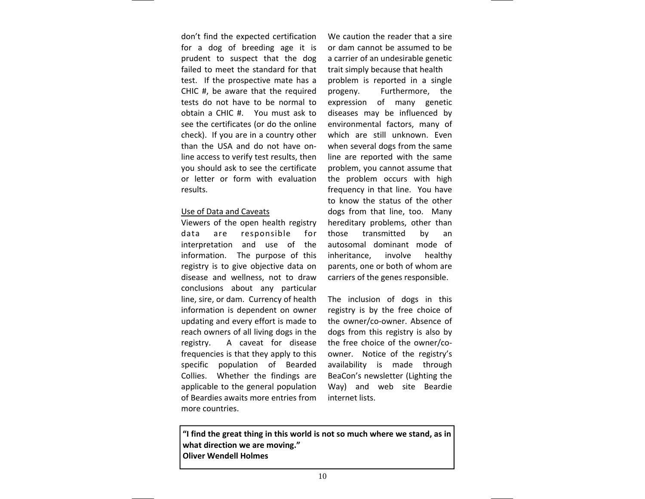don't find the expected certification for a dog of breeding age it is prudent to suspect that the dog failed to meet the standard for that test. If the prospective mate has <sup>a</sup> CHIC #, be aware that the required tests do not have to be normal to obtain a CHIC #. You must ask to see the certificates (or do the online check). If you are in <sup>a</sup> country other than the USA and do not have on‐ line access to verify test results, then you should ask to see the certificate or letter or form with evaluation results.

### Use of Data and Caveats

Viewers of the open health registry data are responsible for interpretation and use of the information. The purpose of this registry is to give objective data on disease and wellness, not to draw conclusions about any particular line, sire, or dam. Currency of health information is dependent on owner updating and every effort is made to reach owners of all living dogs in the registry. A caveat for disease frequencies is that they apply to this specific population of Bearded Collies. Whether the findings are applicable to the general population of Beardies awaits more entries frommore countries.

We caution the reader that <sup>a</sup> sire or dam cannot be assumed to be a carrier of an undesirable genetic trait simply because that health problem is reported in <sup>a</sup> single progeny. Furthermore, the expression of many genetic diseases may be influenced by environmental factors, many of which are still unknown. Even when several dogs from the same line are reported with the same problem, you cannot assume that the problem occurs with high frequency in that line. You have to know the status of the other dogs from that line, too. Many hereditary problems, other than those transmitted by an autosomal dominant mode of inheritance, involve healthy parents, one or both of whom are carriers of the genes responsible.

The inclusion of dogs in this registry is by the free choice of the owner/co‐owner. Absence of dogs from this registry is also by the free choice of the owner/co‐ owner. Notice of the registry's availability is made through BeaCon's newsletter (Lighting the Way) and web site Beardie internet lists.

**"I find the great thing in this world is not so much where we stand, as in what direction we are moving." Oliver Wendell Holmes**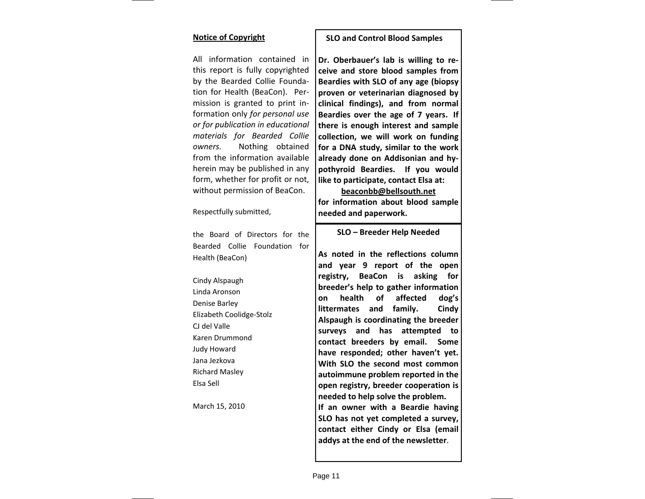## **Notice of Copyright**

All information contained in this report is fully copyrighted by the Bearded Collie Founda‐ tion for Health (BeaCon). Per‐ mission is granted to print in‐ formation only *for personal use or for publication in educational materials for Bearded Collie owners.* Nothing obtained from the information available herein may be published in any form, whether for profit or not, without permission of BeaCon.

Respectfully submitted,

the Board of Directors for the Bearded Collie Foundation for Health (BeaCon)

Cindy Alspaugh Linda AronsonDenise Barley Elizabeth Coolidge‐Stolz CJ del ValleKaren Drummond Judy Howard Jana Jezkova Richard Masley Elsa Sell

March 15, 2010

## **SLO and Control Blood Samples**

**Dr. Oberbauer's lab is willing to re‐ ceive and store blood samples from Beardies with SLO of any age (biopsy proven or veterinarian diagnosed by clinical findings), and from normal Beardies over the age of 7 years. If there is enough interest and sample collection, we will work on funding for a DNA study, similar to the work already done on Addisonian and hy‐ pothyroid Beardies. If you would like to participate, contact Elsa at:**

**beaconbb@bellsouth.net for information about blood sample needed and paperwork.**

### **SLO – Breeder Help Needed**

**As noted in the reflections column and year 9 report of the open registry, BeaCon is asking for breeder's help to gather information on health of affected dog's littermates and family. Cindy Alspaugh is coordinating the breeder surveys and has attempted to contact breeders by email. Some have responded; other haven't yet. With SLO the second most common autoimmune problem reported in the open registry, breeder cooperation is needed to help solve the problem. If an owner with <sup>a</sup> Beardie having SLO has not yet completed <sup>a</sup> survey, contact either Cindy or Elsa (email addys at the end of the newsletter**.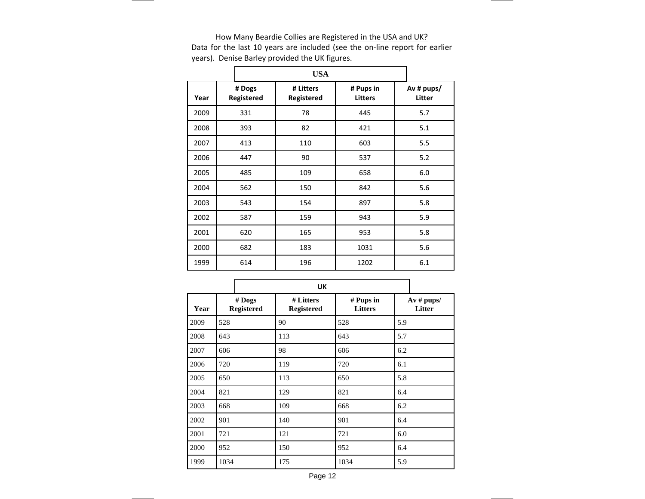#### How Many Beardie Collies are Registered in the USA and UK?

Data for the last 10 years are included (see the on‐line report for earlier years). Denise Barley provided the UK figures.

|      | <b>USA</b> |                      |                         |  |                             |  |                        |
|------|------------|----------------------|-------------------------|--|-----------------------------|--|------------------------|
| Year |            | # Dogs<br>Registered | # Litters<br>Registered |  | # Pups in<br><b>Litters</b> |  | Av # $pups/$<br>Litter |
| 2009 |            | 331                  | 78                      |  | 445                         |  | 5.7                    |
| 2008 |            | 393                  | 82                      |  | 421                         |  | 5.1                    |
| 2007 |            | 413                  | 110                     |  | 603                         |  | 5.5                    |
| 2006 |            | 447                  | 90                      |  | 537                         |  | 5.2                    |
| 2005 |            | 485                  | 109                     |  | 658                         |  | 6.0                    |
| 2004 |            | 562                  | 150                     |  | 842                         |  | 5.6                    |
| 2003 |            | 543                  | 154                     |  | 897                         |  | 5.8                    |
| 2002 |            | 587                  | 159                     |  | 943                         |  | 5.9                    |
| 2001 |            | 620                  | 165                     |  | 953                         |  | 5.8                    |
| 2000 |            | 682                  | 183                     |  | 1031                        |  | 5.6                    |
| 1999 |            | 614                  | 196                     |  | 1202                        |  | 6.1                    |

|      |                             | <b>UK</b>                      |                             |                               |
|------|-----------------------------|--------------------------------|-----------------------------|-------------------------------|
| Year | # Dogs<br><b>Registered</b> | # Litters<br><b>Registered</b> | # Pups in<br><b>Litters</b> | $Av \# \text{pups}$<br>Litter |
| 2009 | 528                         | 90                             | 528                         | 5.9                           |
| 2008 | 643                         | 113                            | 643                         | 5.7                           |
| 2007 | 606                         | 98                             | 606                         | 6.2                           |
| 2006 | 720                         | 119                            | 720                         | 6.1                           |
| 2005 | 650                         | 113                            | 650                         | 5.8                           |
| 2004 | 821                         | 129                            | 821                         | 6.4                           |
| 2003 | 668                         | 109                            | 668                         | 6.2                           |
| 2002 | 901                         | 140                            | 901                         | 6.4                           |
| 2001 | 721                         | 121                            | 721                         | 6.0                           |
| 2000 | 952                         | 150                            | 952                         | 6.4                           |
| 1999 | 1034                        | 175                            | 1034                        | 5.9                           |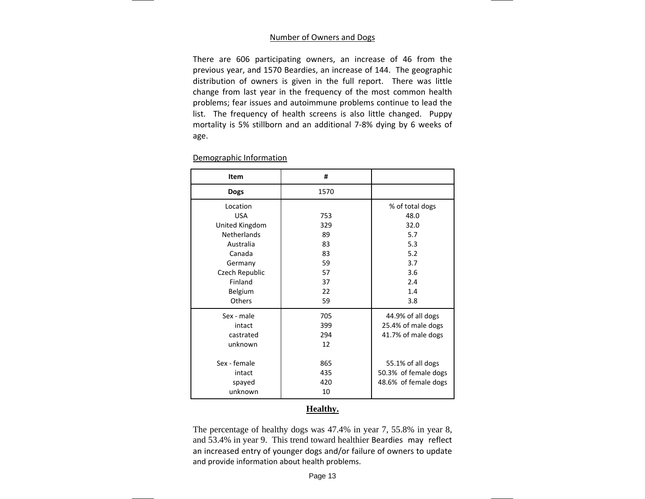### Number of Owners and Dogs

There are 606 participating owners, an increase of 46 from the previous year, and 1570 Beardies, an increase of 144. The geographic distribution of owners is given in the full report. There was little change from last year in the frequency of the most common health problems; fear issues and autoimmune problems continue to lead the list. The frequency of health screens is also little changed. Puppy mortality is 5% stillborn and an additional 7‐8% dying by 6 weeks of age.

| Item               | #    |                      |
|--------------------|------|----------------------|
| <b>Dogs</b>        | 1570 |                      |
| Location           |      | % of total dogs      |
| <b>USA</b>         | 753  | 48.0                 |
| United Kingdom     | 329  | 32.0                 |
| <b>Netherlands</b> | 89   | 5.7                  |
| Australia          | 83   | 5.3                  |
| Canada             | 83   | 5.2                  |
| Germany            | 59   | 3.7                  |
| Czech Republic     | 57   | 3.6                  |
| Finland            | 37   | 2.4                  |
| Belgium            | 22   | 1.4                  |
| Others             | 59   | 3.8                  |
| Sex - male         | 705  | 44.9% of all dogs    |
| intact             | 399  | 25.4% of male dogs   |
| castrated          | 294  | 41.7% of male dogs   |
| unknown            | 12   |                      |
| Sex - female       | 865  | 55.1% of all dogs    |
| intact             | 435  | 50.3% of female dogs |
| spayed             | 420  | 48.6% of female dogs |
| unknown            | 10   |                      |

## Demographic Information

# **Healthy.**

The percentage of healthy dogs was 47.4% in year 7, 55.8% in year 8, and 53.4% in year 9. This trend toward healthier Beardies may reflect an increased entry of younger dogs and/or failure of owners to update and provide information about health problems.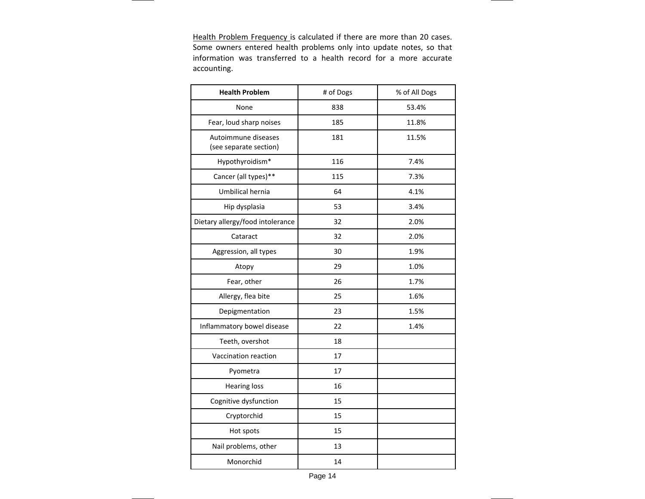Health Problem Frequency is calculated if there are more than 20 cases. Some owners entered health problems only into update notes, so that information was transferred to <sup>a</sup> health record for <sup>a</sup> more accurate accounting.

| <b>Health Problem</b>                         | # of Dogs | % of All Dogs |
|-----------------------------------------------|-----------|---------------|
| None                                          | 838       | 53.4%         |
| Fear, loud sharp noises                       | 185       | 11.8%         |
| Autoimmune diseases<br>(see separate section) | 181       | 11.5%         |
| Hypothyroidism*                               | 116       | 7.4%          |
| Cancer (all types)**                          | 115       | 7.3%          |
| Umbilical hernia                              | 64        | 4.1%          |
| Hip dysplasia                                 | 53        | 3.4%          |
| Dietary allergy/food intolerance              | 32        | 2.0%          |
| Cataract                                      | 32        | 2.0%          |
| Aggression, all types                         | 30        | 1.9%          |
| Atopy                                         | 29        | 1.0%          |
| Fear, other                                   | 26        | 1.7%          |
| Allergy, flea bite                            | 25        | 1.6%          |
| Depigmentation                                | 23        | 1.5%          |
| Inflammatory bowel disease                    | 22        | 1.4%          |
| Teeth, overshot                               | 18        |               |
| Vaccination reaction                          | 17        |               |
| Pyometra                                      | 17        |               |
| <b>Hearing loss</b>                           | 16        |               |
| Cognitive dysfunction                         | 15        |               |
| Cryptorchid                                   | 15        |               |
| Hot spots                                     | 15        |               |
| Nail problems, other                          | 13        |               |
| Monorchid                                     | 14        |               |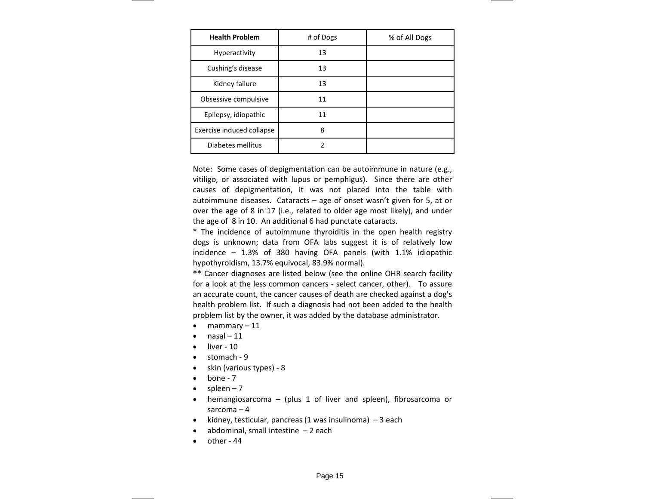| <b>Health Problem</b>     | # of Dogs | % of All Dogs |
|---------------------------|-----------|---------------|
| <b>Hyperactivity</b>      | 13        |               |
| Cushing's disease         | 13        |               |
| Kidney failure            | 13        |               |
| Obsessive compulsive      | 11        |               |
| Epilepsy, idiopathic      | 11        |               |
| Exercise induced collapse | 8         |               |
| Diabetes mellitus         | 2         |               |

Note: Some cases of depigmentation can be autoimmune in nature (e.g., vitiligo, or associated with lupus or pemphigus). Since there are other causes of depigmentation, it was not placed into the table with autoimmune diseases. Cataracts – age of onset wasn't given for 5, at or over the age of 8 in 17 (i.e., related to older age most likely), and under the age of 8 in 10. An additional 6 had punctate cataracts.

\* The incidence of autoimmune thyroiditis in the open health registry dogs is unknown; data from OFA labs suggest it is of relatively low incidence – 1.3% of 380 having OFA panels (with 1.1% idiopathic hypothyroidism, 13.7% equivocal, 83.9% normal).

**\*\*** Cancer diagnoses are listed below (see the online OHR search facility for a look at the less common cancers ‐ select cancer, other). To assure an accurate count, the cancer causes of death are checked against <sup>a</sup> dog's health problem list. If such <sup>a</sup> diagnosis had not been added to the health problem list by the owner, it was added by the database administrator.

- mammary 11
- nasal 11
- liver 10
- stomach ‐ 9
- skin (various types) ‐ 8
- bone 7
- spleen  $-7$
- hemangiosarcoma (plus 1 of liver and spleen), fibrosarcoma or sarcoma – 4
- kidney, testicular, pancreas (1 was insulinoma)  $-3$  each
- abdominal, small intestine  $-2$  each
- other 44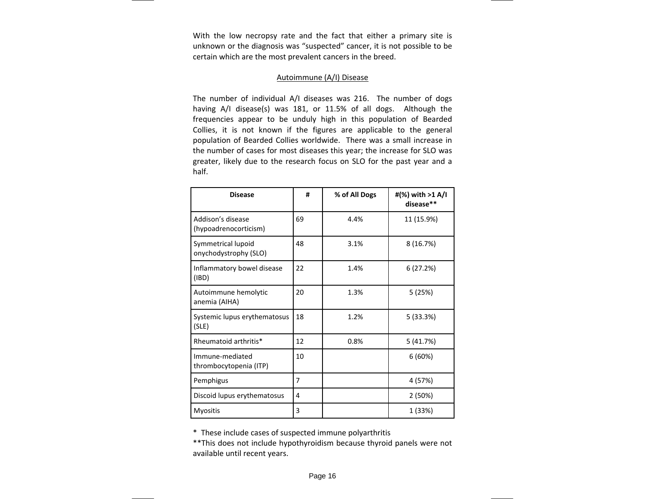With the low necropsy rate and the fact that either <sup>a</sup> primary site is unknown or the diagnosis was "suspected" cancer, it is not possible to be certain which are the most prevalent cancers in the breed.

#### Autoimmune (A/I) Disease

The number of individual A/I diseases was 216. The number of dogs having A/I disease(s) was 181, or 11.5% of all dogs. Although the frequencies appear to be unduly high in this population of Bearded Collies, it is not known if the figures are applicable to the general population of Bearded Collies worldwide. There was <sup>a</sup> small increase in the number of cases for most diseases this year; the increase for SLO was greater, likely due to the research focus on SLO for the past year and <sup>a</sup> half.

| <b>Disease</b>                              | #  | % of All Dogs | #(%) with >1 A/I<br>disease** |
|---------------------------------------------|----|---------------|-------------------------------|
| Addison's disease<br>(hypoadrenocorticism)  | 69 | 4.4%          | 11 (15.9%)                    |
| Symmetrical lupoid<br>onychodystrophy (SLO) | 48 | 3.1%          | 8 (16.7%)                     |
| Inflammatory bowel disease<br>(IBD)         | 22 | 1.4%          | 6(27.2%)                      |
| Autoimmune hemolytic<br>anemia (AIHA)       | 20 | 1.3%          | 5(25%)                        |
| Systemic lupus erythematosus<br>(SLE)       | 18 | 1.2%          | 5(33.3%)                      |
| Rheumatoid arthritis*                       | 12 | 0.8%          | 5 (41.7%)                     |
| Immune-mediated<br>thrombocytopenia (ITP)   | 10 |               | 6(60%)                        |
| Pemphigus                                   | 7  |               | 4 (57%)                       |
| Discoid lupus erythematosus                 | 4  |               | 2(50%)                        |
| <b>Myositis</b>                             | 3  |               | 1 (33%)                       |

\* These include cases of suspected immune polyarthritis

\*\*This does not include hypothyroidism because thyroid panels were not available until recent years.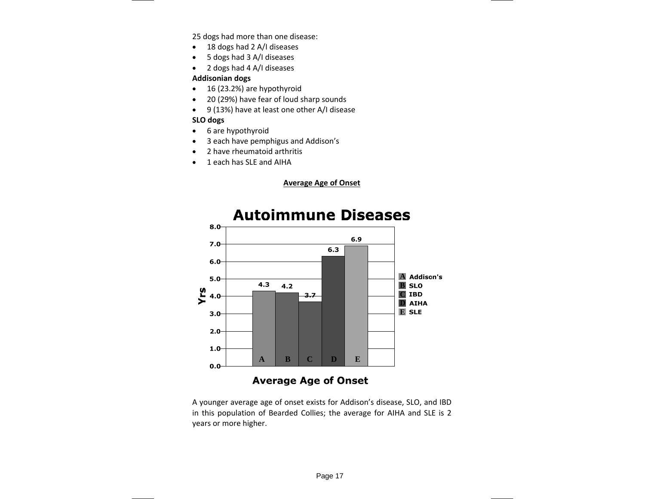25 dogs had more than one disease:

- 18 dogs had 2 A/I diseases
- 5 dogs had 3 A/I diseases
- 2 dogs had 4 A/I diseases

## **Addisonian dogs**

- 16 (23.2%) are hypothyroid
- 20 (29%) have fear of loud sharp sounds
- 9 (13%) have at least one other A/I disease

# **SLO dogs**

- 6 are hypothyroid
- 3 each have pemphigus and Addison's
- 2 have rheumatoid arthritis
- 1 each has SLE and AIHA

**Average Age of Onset**



A younger average age of onset exists for Addison's disease, SLO, and IBD in this population of Bearded Collies; the average for AIHA and SLE is 2 years or more higher.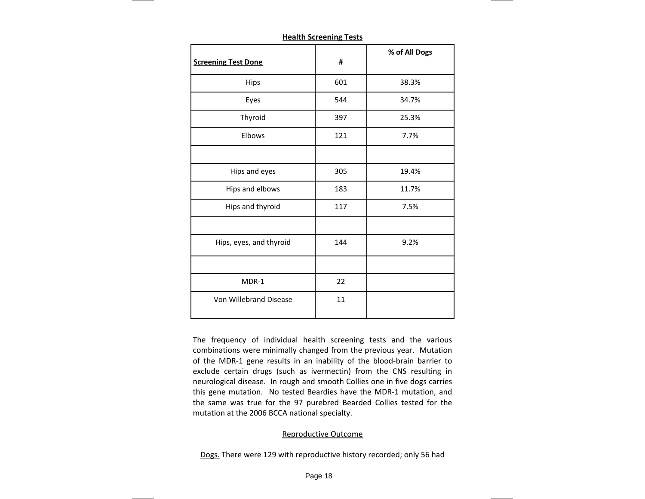| <b>Screening Test Done</b> | #   | % of All Dogs |
|----------------------------|-----|---------------|
| <b>Hips</b>                | 601 | 38.3%         |
| Eyes                       | 544 | 34.7%         |
| Thyroid                    | 397 | 25.3%         |
| Elbows                     | 121 | 7.7%          |
|                            |     |               |
| Hips and eyes              | 305 | 19.4%         |
| Hips and elbows            | 183 | 11.7%         |
| Hips and thyroid           | 117 | 7.5%          |
|                            |     |               |
| Hips, eyes, and thyroid    | 144 | 9.2%          |
|                            |     |               |
| MDR-1                      | 22  |               |
| Von Willebrand Disease     | 11  |               |

**Health Screening Tests**

The frequency of individual health screening tests and the various combinations were minimally changed from the previous year. Mutation of the MDR‐1 gene results in an inability of the blood‐brain barrier to exclude certain drugs (such as ivermectin) from the CNS resulting in neurological disease. In rough and smooth Collies one in five dogs carries this gene mutation. No tested Beardies have the MDR‐1 mutation, and the same was true for the 97 purebred Bearded Collies tested for the mutation at the 2006 BCCA national specialty.

## Reproductive Outcome

Dogs. There were 129 with reproductive history recorded; only 56 had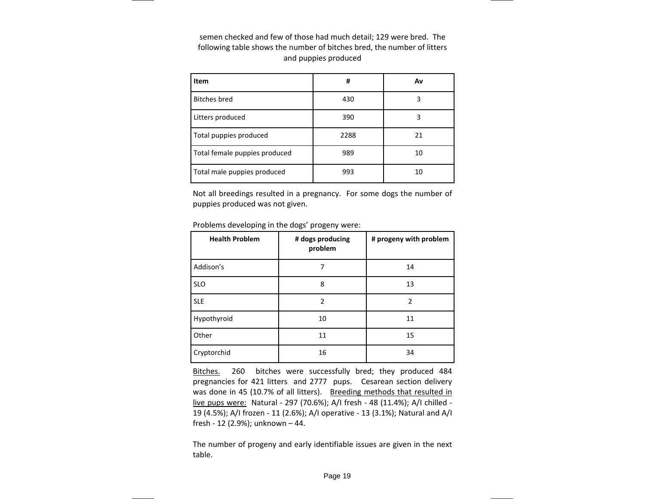semen checked and few of those had much detail; 129 were bred. The following table shows the number of bitches bred, the number of litters and puppies produced

| Item                          | #    | Av |
|-------------------------------|------|----|
| <b>Bitches</b> bred           | 430  | 3  |
| Litters produced              | 390  | 3  |
| Total puppies produced        | 2288 | 21 |
| Total female puppies produced | 989  | 10 |
| Total male puppies produced   | 993  | 10 |

Not all breedings resulted in <sup>a</sup> pregnancy. For some dogs the number of puppies produced was not given.

Problems developing in the dogs' progeny were:

| <b>Health Problem</b> | # dogs producing<br>problem | # progeny with problem |
|-----------------------|-----------------------------|------------------------|
| Addison's             | 7                           | 14                     |
| <b>SLO</b>            | 8                           | 13                     |
| <b>SLE</b>            | 2                           | 2                      |
| Hypothyroid           | 10                          | 11                     |
| Other                 | 11                          | 15                     |
| Cryptorchid           | 16                          | 34                     |

<u>Bitches.</u> 260 bitches were successfully bred; they produced 484 pregnancies for 421 litters and 2777 pups. Cesarean section delivery was done in 45 (10.7% of all litters). Breeding methods that resulted in live pups were: Natural ‐ 297 (70.6%); A/I fresh ‐ 48 (11.4%); A/I chilled ‐ 19 (4.5%); A/I frozen ‐ 11 (2.6%); A/I operative ‐ 13 (3.1%); Natural and A/I fresh ‐ 12 (2.9%); unknown – 44.

The number of progeny and early identifiable issues are given in the next table.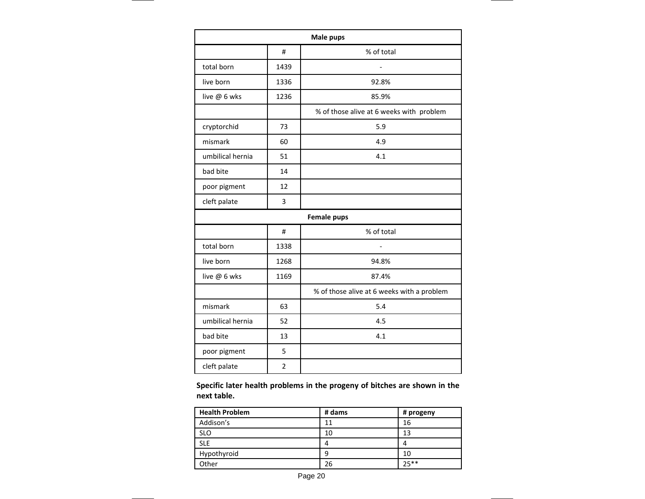| Male pups        |                |                                            |  |  |
|------------------|----------------|--------------------------------------------|--|--|
|                  | #              | % of total                                 |  |  |
| total born       | 1439           | $\overline{a}$                             |  |  |
| live born        | 1336           | 92.8%                                      |  |  |
| live @ 6 wks     | 1236           | 85.9%                                      |  |  |
|                  |                | % of those alive at 6 weeks with problem   |  |  |
| cryptorchid      | 73             | 5.9                                        |  |  |
| mismark          | 60             | 4.9                                        |  |  |
| umbilical hernia | 51             | 4.1                                        |  |  |
| bad bite         | 14             |                                            |  |  |
| poor pigment     | 12             |                                            |  |  |
| cleft palate     | 3              |                                            |  |  |
|                  |                | <b>Female pups</b>                         |  |  |
|                  | #              | % of total                                 |  |  |
| total born       | 1338           |                                            |  |  |
| live born        | 1268           | 94.8%                                      |  |  |
| live @ 6 wks     | 1169           | 87.4%                                      |  |  |
|                  |                | % of those alive at 6 weeks with a problem |  |  |
| mismark          | 63             | 5.4                                        |  |  |
| umbilical hernia | 52             | 4.5                                        |  |  |
| bad bite         | 13             | 4.1                                        |  |  |
| poor pigment     | 5              |                                            |  |  |
| cleft palate     | $\overline{2}$ |                                            |  |  |

**Specific later health problems in the progeny of bitches are shown in the next table.**

| <b>Health Problem</b> | # dams | # progeny |
|-----------------------|--------|-----------|
| Addison's             | 11     | 16        |
| <b>SLO</b>            | 10     | 13        |
| <b>SLE</b>            |        | 4         |
| Hypothyroid           |        | 10        |
| Other                 | 26     | 25**      |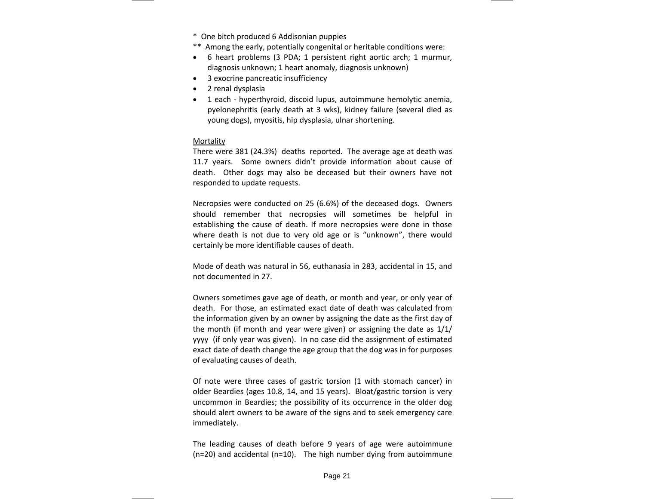- \* One bitch produced 6 Addisonian puppies
- \*\* Among the early, potentially congenital or heritable conditions were:
- 6 heart problems (3 PDA; 1 persistent right aortic arch; 1 murmur, diagnosis unknown; 1 heart anomaly, diagnosis unknown)
- 3 exocrine pancreatic insufficiency
- 2 renal dysplasia
- 1 each hyperthyroid, discoid lupus, autoimmune hemolytic anemia, pyelonephritis (early death at 3 wks), kidney failure (several died as young dogs), myositis, hip dysplasia, ulnar shortening.

#### Mortality

There were 381 (24.3%) deaths reported. The average age at death was 11.7 years. Some owners didn't provide information about cause of death. Other dogs may also be deceased but their owners have not responded to update requests.

Necropsies were conducted on 25 (6.6%) of the deceased dogs. Owners should remember that necropsies will sometimes be helpful in establishing the cause of death. If more necropsies were done in those where death is not due to very old age or is "unknown", there would certainly be more identifiable causes of death.

Mode of death was natural in 56, euthanasia in 283, accidental in 15, and not documented in 27.

Owners sometimes gave age of death, or month and year, or only year of death. For those, an estimated exact date of death was calculated from the information given by an owner by assigning the date as the first day of the month (if month and year were given) or assigning the date as 1/1/ yyyy (if only year was given). In no case did the assignment of estimated exact date of death change the age group that the dog was in for purposes of evaluating causes of death.

Of note were three cases of gastric torsion (1 with stomach cancer) in older Beardies (ages 10.8, 14, and 15 years). Bloat/gastric torsion is very uncommon in Beardies; the possibility of its occurrence in the older dog should alert owners to be aware of the signs and to seek emergency care immediately.

The leading causes of death before 9 years of age were autoimmune (n=20) and accidental (n=10). The high number dying from autoimmune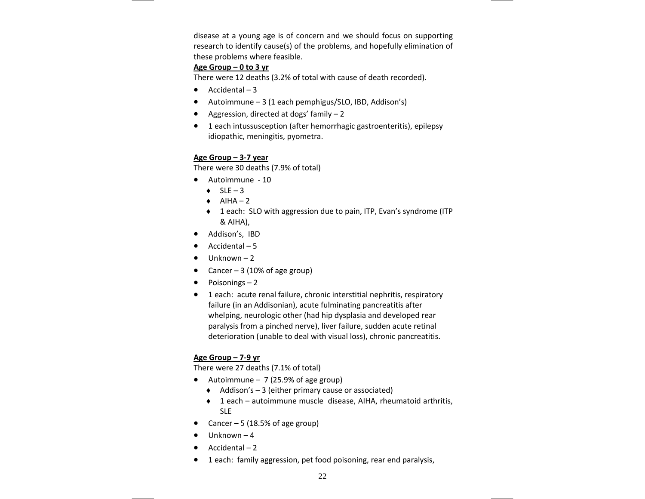disease at <sup>a</sup> young age is of concern and we should focus on supporting research to identify cause(s) of the problems, and hopefully elimination of these problems where feasible.

# **Age Group – 0 to 3 yr**

There were 12 deaths (3.2% of total with cause of death recorded).

- Accidental 3
- Autoimmune 3 (1 each pemphigus/SLO, IBD, Addison's)
- Aggression, directed at dogs' family 2
- 1 each intussusception (after hemorrhagic gastroenteritis), epilepsy idiopathic, meningitis, pyometra.

# **Age Group – 3‐7 year**

There were 30 deaths (7.9% of total)

- Autoimmune 10
	- $\blacklozenge$  SLE 3
	- $\blacklozenge$  AIHA 2
	- ♦ 1 each: SLO with aggression due to pain, ITP, Evan's syndrome (ITP & AIHA),
- Addison's, IBD
- Accidental 5
- Unknown 2
- Cancer 3 (10% of age group)
- Poisonings 2
- 1 each: acute renal failure, chronic interstitial nephritis, respiratory failure (in an Addisonian), acute fulminating pancreatitis after whelping, neurologic other (had hip dysplasia and developed rear paralysis from <sup>a</sup> pinched nerve), liver failure, sudden acute retinal deterioration (unable to deal with visual loss), chronic pancreatitis.

# **Age Group – 7‐9 yr**

There were 27 deaths (7.1% of total)

- Autoimmune 7 (25.9% of age group)
	- ♦ Addison's 3 (either primary cause or associated)
	- ♦ 1 each autoimmune muscle disease, AIHA, rheumatoid arthritis, SLE
- Cancer 5 (18.5% of age group)
- Unknown 4
- Accidental 2
- 1 each: family aggression, pet food poisoning, rear end paralysis,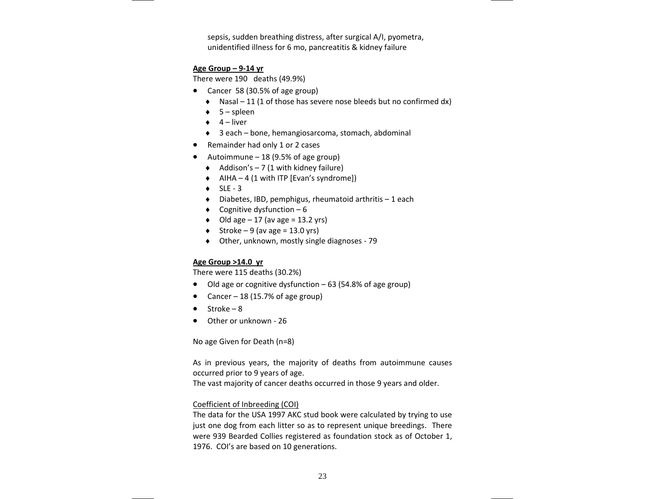sepsis, sudden breathing distress, after surgical A/I, pyometra, unidentified illness for 6 mo, pancreatitis & kidney failure

## **Age Group – 9‐14 yr**

There were 190 deaths (49.9%)

- Cancer 58 (30.5% of age group)
	- ♦ Nasal 11 (1 of those has severe nose bleeds but no confirmed dx)
	- ♦ 5 spleen
	- ♦ 4 liver
	- ♦ 3 each bone, hemangiosarcoma, stomach, abdominal
- Remainder had only 1 or 2 cases
- Autoimmune 18 (9.5% of age group)
	- ♦ Addison's 7 (1 with kidney failure)
	- ♦ AIHA 4 (1 with ITP [Evan's syndrome])
	- $\bullet$  SLE 3
	- ♦ Diabetes, IBD, pemphigus, rheumatoid arthritis 1 each
	- $\bullet$  Cognitive dysfunction 6
	- $\bullet$  Old age 17 (av age = 13.2 yrs)
	- $\blacklozenge$  Stroke 9 (av age = 13.0 yrs)
	- ♦ Other, unknown, mostly single diagnoses ‐ 79

### **Age Group >14.0 yr**

There were 115 deaths (30.2%)

- Old age or cognitive dysfunction 63 (54.8% of age group)
- Cancer 18 (15.7% of age group)
- Stroke 8
- Other or unknown ‐ 26

No age Given for Death (n=8)

As in previous years, the majority of deaths from autoimmune causes occurred prior to 9 years of age.

The vast majority of cancer deaths occurred in those 9 years and older.

### Coefficient of Inbreeding (COI)

The data for the USA 1997 AKC stud book were calculated by trying to use just one dog from each litter so as to represent unique breedings. There were 939 Bearded Collies registered as foundation stock as of October 1, 1976. COI's are based on 10 generations.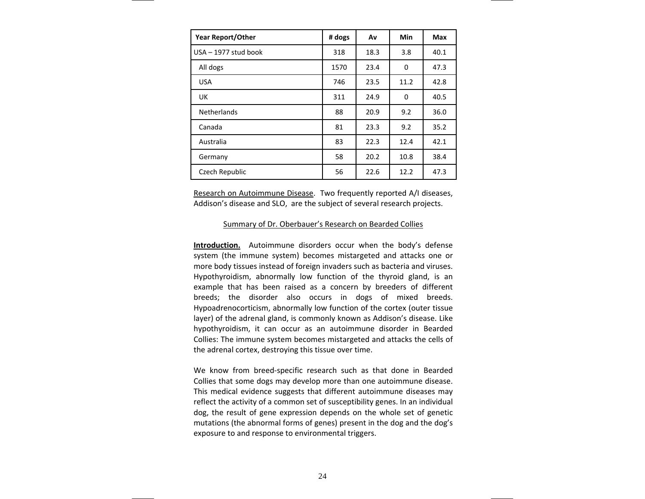| <b>Year Report/Other</b> | # dogs | Av   | Min  | Max  |
|--------------------------|--------|------|------|------|
| USA - 1977 stud book     | 318    | 18.3 | 3.8  | 40.1 |
| All dogs                 | 1570   | 23.4 | 0    | 47.3 |
| <b>USA</b>               | 746    | 23.5 | 11.2 | 42.8 |
| <b>UK</b>                | 311    | 24.9 | 0    | 40.5 |
| <b>Netherlands</b>       | 88     | 20.9 | 9.2  | 36.0 |
| Canada                   | 81     | 23.3 | 9.2  | 35.2 |
| Australia                | 83     | 22.3 | 12.4 | 42.1 |
| Germany                  | 58     | 20.2 | 10.8 | 38.4 |
| Czech Republic           | 56     | 22.6 | 12.2 | 47.3 |

Research on Autoimmune Disease. Two frequently reported A/I diseases, Addison's disease and SLO, are the subject of several research projects.

#### Summary of Dr. Oberbauer's Research on Bearded Collies

**Introduction.** Autoimmune disorders occur when the body's defense system (the immune system) becomes mistargeted and attacks one or more body tissues instead of foreign invaders such as bacteria and viruses. Hypothyroidism, abnormally low function of the thyroid gland, is an example that has been raised as <sup>a</sup> concern by breeders of different breeds; the disorder also occurs in dogs of mixed breeds. Hypoadrenocorticism, abnormally low function of the cortex (outer tissue layer) of the adrenal gland, is commonly known as Addison's disease. Like hypothyroidism, it can occur as an autoimmune disorder in Bearded Collies: The immune system becomes mistargeted and attacks the cells of the adrenal cortex, destroying this tissue over time.

We know from breed‐specific research such as that done in Bearded Collies that some dogs may develop more than one autoimmune disease. This medical evidence suggests that different autoimmune diseases may reflect the activity of <sup>a</sup> common set of susceptibility genes. In an individual dog, the result of gene expression depends on the whole set of genetic mutations (the abnormal forms of genes) present in the dog and the dog's exposure to and response to environmental triggers.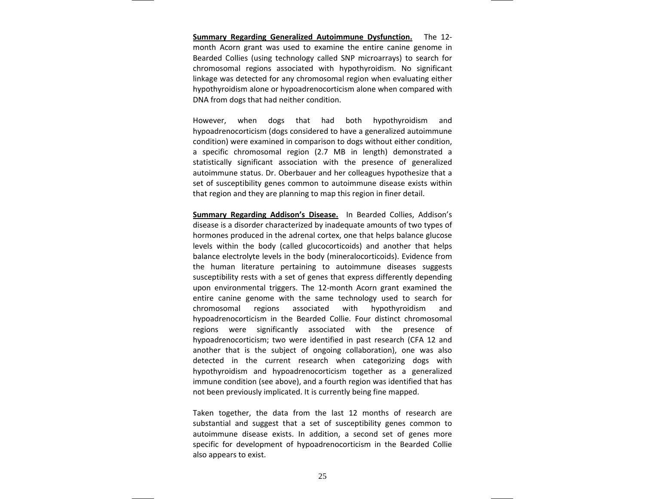**Summary Regarding Generalized Autoimmune Dysfunction.** The 12‐ month Acorn grant was used to examine the entire canine genome in Bearded Collies (using technology called SNP microarrays) to search for chromosomal regions associated with hypothyroidism. No significant linkage was detected for any chromosomal region when evaluating either hypothyroidism alone or hypoadrenocorticism alone when compared with DNA from dogs that had neither condition.

However, when dogs that had both hypothyroidism and hypoadrenocorticism (dogs considered to have <sup>a</sup> generalized autoimmune condition) were examined in comparison to dogs without either condition, a specific chromosomal region (2.7 MB in length) demonstrated <sup>a</sup> statistically significant association with the presence of generalized autoimmune status. Dr. Oberbauer and her colleagues hypothesize that <sup>a</sup> set of susceptibility genes common to autoimmune disease exists within that region and they are planning to map this region in finer detail.

**Summary Regarding Addison's Disease.** In Bearded Collies, Addison's disease is <sup>a</sup> disorder characterized by inadequate amounts of two types of hormones produced in the adrenal cortex, one that helps balance glucose levels within the body (called glucocorticoids) and another that helps balance electrolyte levels in the body (mineralocorticoids). Evidence from the human literature pertaining to autoimmune diseases suggests susceptibility rests with <sup>a</sup> set of genes that express differently depending upon environmental triggers. The 12‐month Acorn grant examined the entire canine genome with the same technology used to search for chromosomal regions associated with hypothyroidism and hypoadrenocorticism in the Bearded Collie. Four distinct chromosomal regions were significantly associated with the presence of hypoadrenocorticism; two were identified in past research (CFA 12 and another that is the subject of ongoing collaboration), one was also detected in the current research when categorizing dogs with hypothyroidism and hypoadrenocorticism together as <sup>a</sup> generalized immune condition (see above), and <sup>a</sup> fourth region was identified that has not been previously implicated. It is currently being fine mapped.

Taken together, the data from the last 12 months of research are substantial and suggest that <sup>a</sup> set of susceptibility genes common to autoimmune disease exists. In addition, <sup>a</sup> second set of genes more specific for development of hypoadrenocorticism in the Bearded Collie also appears to exist.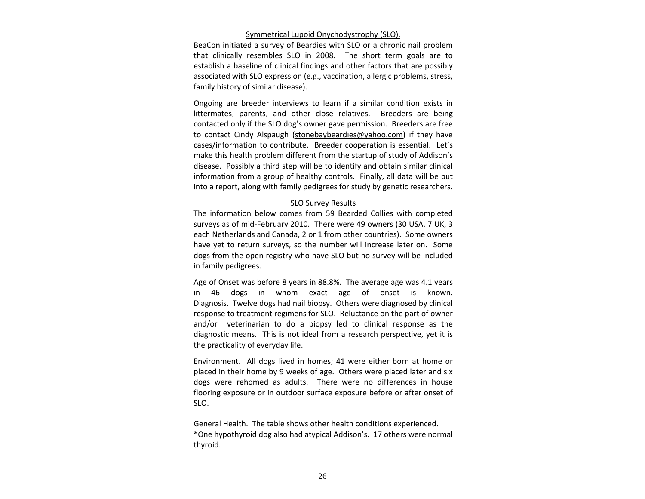#### Symmetrical Lupoid Onychodystrophy (SLO).

BeaCon initiated <sup>a</sup> survey of Beardies with SLO or <sup>a</sup> chronic nail problem that clinically resembles SLO in 2008. The short term goals are to establish <sup>a</sup> baseline of clinical findings and other factors that are possibly associated with SLO expression (e.g., vaccination, allergic problems, stress, family history of similar disease).

Ongoing are breeder interviews to learn if <sup>a</sup> similar condition exists in littermates, parents, and other close relatives. Breeders are being contacted only if the SLO dog's owner gave permission. Breeders are free to contact Cindy Alspaugh (<u>stonebaybeardies@yahoo.com</u>) if they have cases/information to contribute. Breeder cooperation is essential. Let's make this health problem different from the startup of study of Addison's disease. Possibly <sup>a</sup> third step will be to identify and obtain similar clinical information from <sup>a</sup> group of healthy controls. Finally, all data will be put into <sup>a</sup> report, along with family pedigrees for study by genetic researchers.

#### SLO Survey Results

The information below comes from 59 Bearded Collies with completed surveys as of mid‐February 2010. There were 49 owners (30 USA, 7 UK, 3 each Netherlands and Canada, 2 or 1 from other countries). Some owners have yet to return surveys, so the number will increase later on. Some dogs from the open registry who have SLO but no survey will be included in family pedigrees.

Age of Onset was before 8 years in 88.8%. The average age was 4.1 years in 46 dogs in whom exact age of onset is known. Diagnosis. Twelve dogs had nail biopsy. Others were diagnosed by clinical response to treatment regimens for SLO. Reluctance on the part of owner and/or veterinarian to do <sup>a</sup> biopsy led to clinical response as the diagnostic means. This is not ideal from <sup>a</sup> research perspective, yet it is the practicality of everyday life.

Environment. All dogs lived in homes; 41 were either born at home or placed in their home by 9 weeks of age. Others were placed later and six dogs were rehomed as adults. There were no differences in house flooring exposure or in outdoor surface exposure before or after onset of SLO.

General Health. The table shows other health conditions experienced. \*One hypothyroid dog also had atypical Addison's. 17 others were normal thyroid.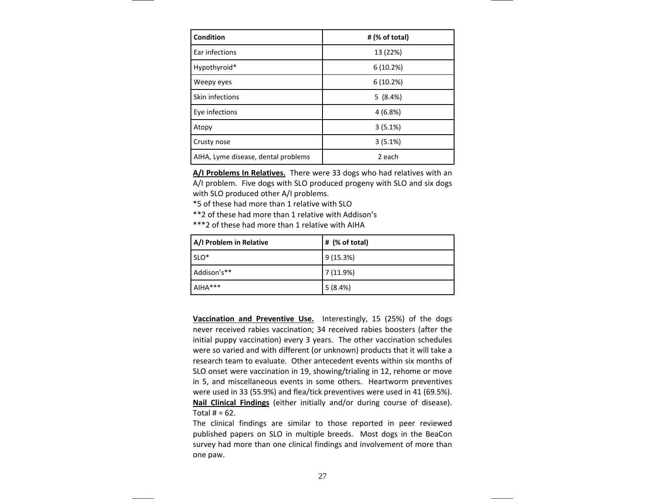| <b>Condition</b>                    | # (% of total) |
|-------------------------------------|----------------|
| Ear infections                      | 13 (22%)       |
| Hypothyroid*                        | 6(10.2%)       |
| Weepy eyes                          | 6(10.2%)       |
| Skin infections                     | 5(8.4%)        |
| Eye infections                      | 4(6.8%)        |
| Atopy                               | 3(5.1%)        |
| Crusty nose                         | 3(5.1%)        |
| AIHA, Lyme disease, dental problems | 2 each         |

**A/I Problems In Relatives.** There were 33 dogs who had relatives with an A/I problem. Five dogs with SLO produced progeny with SLO and six dogs with SLO produced other A/I problems.

\*5 of these had more than 1 relative with SLO

\*\*2 of these had more than 1 relative with Addison's

\*\*\*2 of these had more than 1 relative with AIHA

| A/I Problem in Relative | # (% of total) |
|-------------------------|----------------|
| SLO <sup>*</sup>        | 9(15.3%)       |
| Addison's**             | 7(11.9%)       |
| AIHA***                 | 5(8.4%)        |

**Vaccination and Preventive Use.** Interestingly, 15 (25%) of the dogs never received rabies vaccination; 34 received rabies boosters (after the initial puppy vaccination) every 3 years. The other vaccination schedules were so varied and with different (or unknown) products that it will take <sup>a</sup> research team to evaluate. Other antecedent events within six months of SLO onset were vaccination in 19, showing/trialing in 12, rehome or move in 5, and miscellaneous events in some others. Heartworm preventives were used in 33 (55.9%) and flea/tick preventives were used in 41 (69.5%). **Nail Clinical Findings** (either initially and/or during course of disease). Total # <sup>=</sup> 62.

The clinical findings are similar to those reported in peer reviewed published papers on SLO in multiple breeds. Most dogs in the BeaCon survey had more than one clinical findings and involvement of more than one paw.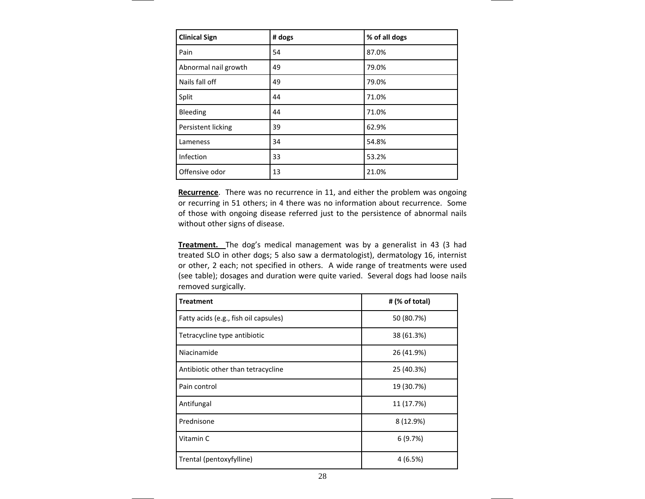| <b>Clinical Sign</b> | # dogs | % of all dogs |
|----------------------|--------|---------------|
| Pain                 | 54     | 87.0%         |
| Abnormal nail growth | 49     | 79.0%         |
| Nails fall off       | 49     | 79.0%         |
| Split                | 44     | 71.0%         |
| <b>Bleeding</b>      | 44     | 71.0%         |
| Persistent licking   | 39     | 62.9%         |
| Lameness             | 34     | 54.8%         |
| Infection            | 33     | 53.2%         |
| Offensive odor       | 13     | 21.0%         |

**Recurrence**. There was no recurrence in 11, and either the problem was ongoing or recurring in 51 others; in 4 there was no information about recurrence. Some of those with ongoing disease referred just to the persistence of abnormal nails without other signs of disease.

**Treatment.** The dog's medical management was by <sup>a</sup> generalist in 43 (3 had treated SLO in other dogs; 5 also saw <sup>a</sup> dermatologist), dermatology 16, internist or other, 2 each; not specified in others. A wide range of treatments were used (see table); dosages and duration were quite varied. Several dogs had loose nails removed surgically.

| <b>Treatment</b>                      | # (% of total) |
|---------------------------------------|----------------|
| Fatty acids (e.g., fish oil capsules) | 50 (80.7%)     |
| Tetracycline type antibiotic          | 38 (61.3%)     |
| Niacinamide                           | 26 (41.9%)     |
| Antibiotic other than tetracycline    | 25 (40.3%)     |
| Pain control                          | 19 (30.7%)     |
| Antifungal                            | 11 (17.7%)     |
| Prednisone                            | 8 (12.9%)      |
| Vitamin C                             | 6(9.7%)        |
| Trental (pentoxyfylline)              | 4(6.5%)        |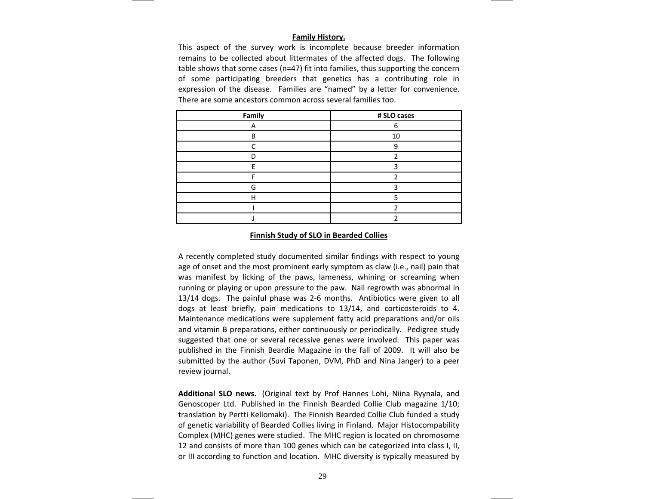### **Family History.**

This aspect of the survey work is incomplete because breeder information remains to be collected about littermates of the affected dogs. The following table shows that some cases (n=47) fit into families, thus supporting the concern of some participating breeders that genetics has <sup>a</sup> contributing role in expression of the disease. Families are "named" by <sup>a</sup> letter for convenience. There are some ancestors common across several families too.

| Family | # SLO cases |  |
|--------|-------------|--|
|        |             |  |
| R      | 10          |  |
|        |             |  |
|        |             |  |
|        |             |  |
|        |             |  |
| G      |             |  |
|        |             |  |
|        |             |  |
|        |             |  |

#### **Finnish Study of SLO in Bearded Collies**

A recently completed study documented similar findings with respect to young age of onset and the most prominent early symptom as claw (i.e., nail) pain that was manifest by licking of the paws, lameness, whining or screaming when running or playing or upon pressure to the paw. Nail regrowth was abnormal in 13/14 dogs. The painful phase was 2‐6 months. Antibiotics were given to all dogs at least briefly, pain medications to 13/14, and corticosteroids to 4. Maintenance medications were supplement fatty acid preparations and/or oils and vitamin B preparations, either continuously or periodically. Pedigree study suggested that one or several recessive genes were involved. This paper was published in the Finnish Beardie Magazine in the fall of 2009. It will also be submitted by the author (Suvi Taponen, DVM, PhD and Nina Janger) to <sup>a</sup> peer review journal.

**Additional SLO news.** (Original text by Prof Hannes Lohi, Niina Ryynala, and Genoscoper Ltd. Published in the Finnish Bearded Collie Club magazine 1/10; translation by Pertti Kellomaki). The Finnish Bearded Collie Club funded <sup>a</sup> study of genetic variability of Bearded Collies living in Finland. Major Histocompability Complex (MHC) genes were studied. The MHC region is located on chromosome 12 and consists of more than 100 genes which can be categorized into class I, II, or III according to function and location. MHC diversity is typically measured by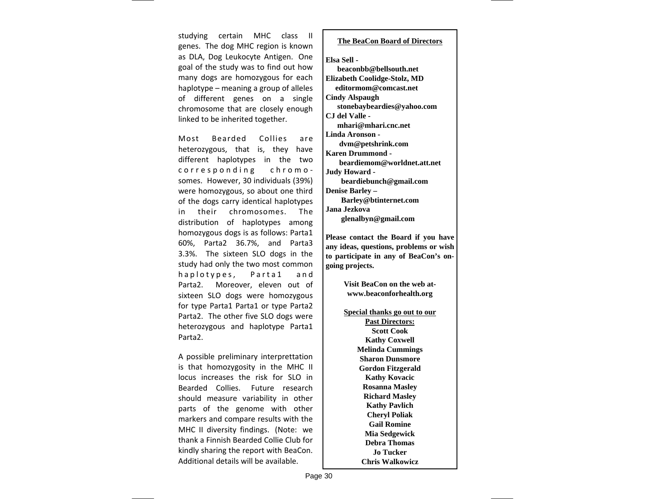studying certain MHC class II genes. The dog MHC region is known as DLA, Dog Leukocyte Antigen. One goal of the study was to find out how many dogs are homozygous for each haplotype – meaning <sup>a</sup> group of alleles of different genes on <sup>a</sup> single chromosome that are closely enough linked to be inherited together.

Most Bearded Collies are heterozygous, that is, they have different haplotypes in the two corresponding chromo ‐ somes. However, 30 individuals (39%) were homozygous, so about one third of the dogs carry identical haplotypes in their chromosomes. The distribution of haplotypes among homozygous dogs is as follows: Parta1 60%, Parta2 36.7%, and Parta3 3.3%. The sixteen SLO dogs in the study had only the two most common haplotypes, Parta1 and Parta2. Moreover, eleven out of sixteen SLO dogs were homozygous for type Parta1 Parta1 or type Parta2 Parta2. The other five SLO dogs were heterozygous and haplotype Parta1 Parta2.

A possible preliminary interprettation is that homozygosity in the MHC II locus increases the risk for SLO in Bearded Collies. Future research should measure variability in other parts of the genome with other markers and compare results with the MHC II diversity findings. (Note: we thank a Finnish Bearded Collie Club for kindly sharing the report with BeaCon. Additional details will be available.

### **The BeaCon Board of Directors**

#### **Elsa Sell -**

 **beaconbb@bellsouth.net Elizabeth Coolidge-Stolz, MD editormom@comcast.net Cindy Alspaugh stonebaybeardies@yahoo.com CJ del Valle mhari@mhari.cnc.net Linda Aronson dvm@petshrink.com Karen Drummond beardiemom@worldnet.att.net Judy Howard beardiebunch@gmail.com Denise Barley – Barley@btinternet.com Jana Jezkova glenalbyn@gmail.com** 

**Please contact the Board if you have any ideas, questions, problems or wish to participate in any of BeaCon's ongoing projects.** 

> **Visit BeaCon on the web atwww.beaconforhealth.org**

**Special thanks go out to our** 

**Past Directors: Scott Cook Kathy Coxwell Melinda Cummings Sharon Dunsmore Gordon Fitzgerald Kathy Kovacic Rosanna Masley Richard Masley Kathy Pavlich Cheryl Poliak Gail Romine Mia Sedgewick Debra Thomas Jo Tucker Chris Walkowicz**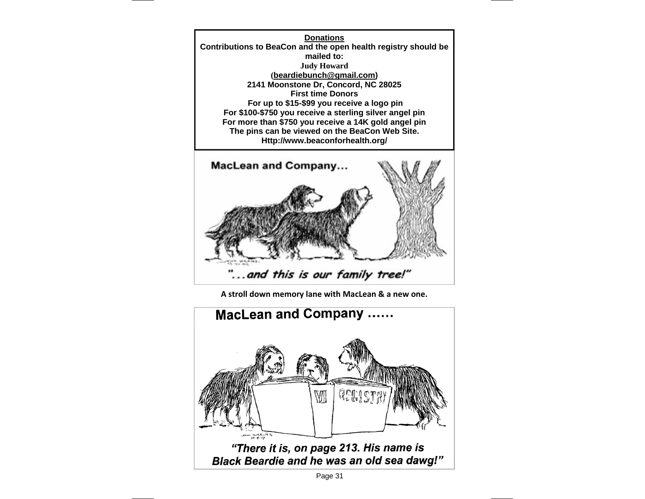**Donations Contributions to BeaCon and the open health registry should be mailed to: Judy Howard (beardiebunch@gmail.com) 2141 Moonstone Dr, Concord, NC 28025 First time Donors For up to \$15-\$99 you receive a logo pin For \$100-\$750 you receive a sterling silver angel pin For more than \$750 you receive a 14K gold angel pin The pins can be viewed on the BeaCon Web Site. Http://www.beaconforhealth.org/** 



**A stroll down memory lane with MacLean & <sup>a</sup> new one.**